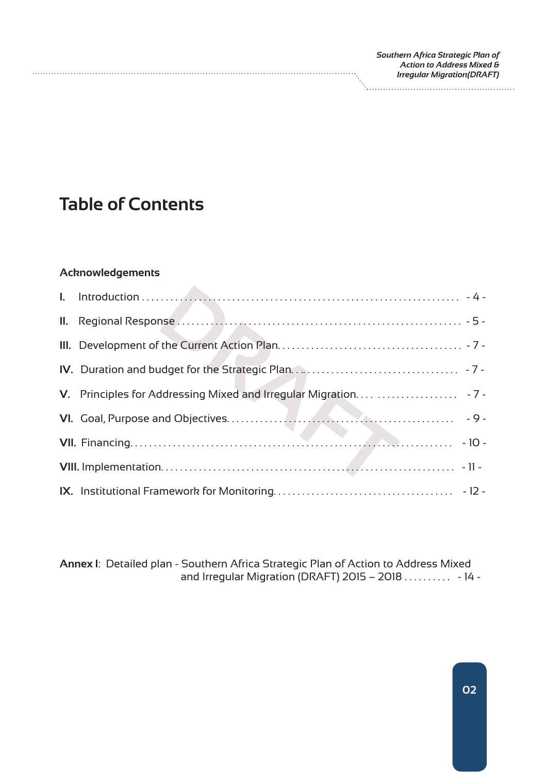| Southern Africa Strategic Plan of  |
|------------------------------------|
| Action to Address Mixed &          |
| <b>Irregular Migration (DRAFT)</b> |
|                                    |
|                                    |

## **Table of Contents**

#### **Acknowledgements**

**Annex I**: Detailed plan - Southern Africa Strategic Plan of Action to Address Mixed and Irregular Migration (DRAFT) 2015 – 2018 . . . . . . . . . . - 14 -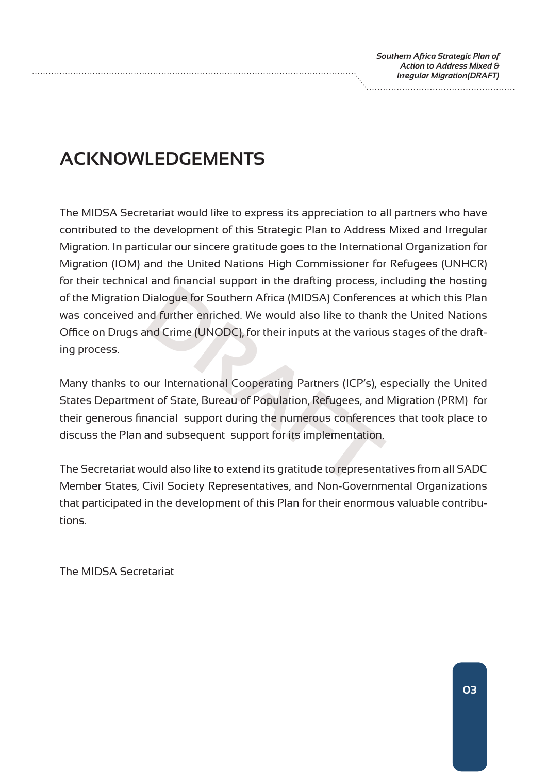# **ACKNOWLEDGEMENTS**

Dialogue for Southern Africa (MIDSA) Conference<br>
and further enriched. We would also like to thank<br>
and Crime (UNODC), for their inputs at the various<br>
bur International Cooperating Partners (ICP's), e<br>
ant of State, Burea The MIDSA Secretariat would like to express its appreciation to all partners who have contributed to the development of this Strategic Plan to Address Mixed and Irregular Migration. In particular our sincere gratitude goes to the International Organization for Migration (IOM) and the United Nations High Commissioner for Refugees (UNHCR) for their technical and financial support in the drafting process, including the hosting of the Migration Dialogue for Southern Africa (MIDSA) Conferences at which this Plan was conceived and further enriched. We would also like to thank the United Nations Office on Drugs and Crime (UNODC), for their inputs at the various stages of the drafting process.

Many thanks to our International Cooperating Partners (ICP's), especially the United States Department of State, Bureau of Population, Refugees, and Migration (PRM) for their generous financial support during the numerous conferences that took place to discuss the Plan and subsequent support for its implementation.

The Secretariat would also like to extend its gratitude to representatives from all SADC Member States, Civil Society Representatives, and Non-Governmental Organizations that participated in the development of this Plan for their enormous valuable contributions.

The MIDSA Secretariat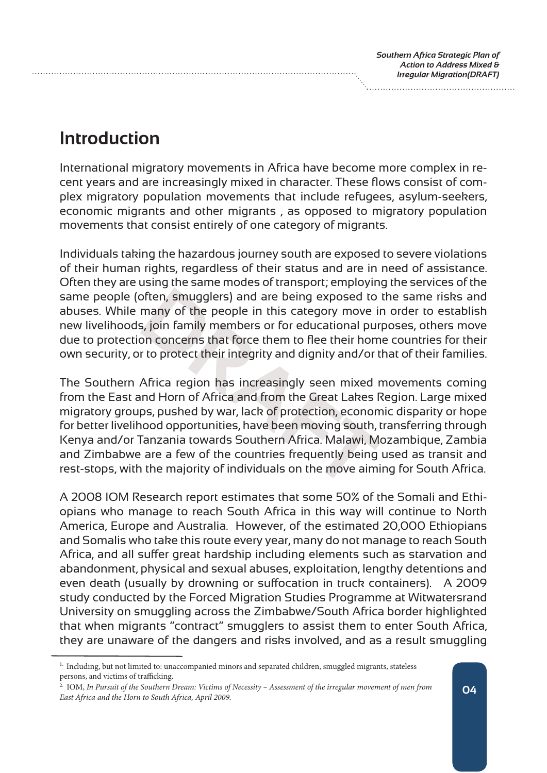## **Introduction**

International migratory movements in Africa have become more complex in recent years and are increasingly mixed in character. These flows consist of complex migratory population movements that include refugees, asylum-seekers, economic migrants and other migrants , as opposed to migratory population movements that consist entirely of one category of migrants.

Individuals taking the hazardous journey south are exposed to severe violations of their human rights, regardless of their status and are in need of assistance. Often they are using the same modes of transport; employing the services of the same people (often, smugglers) and are being exposed to the same risks and abuses. While many of the people in this category move in order to establish new livelihoods, join family members or for educational purposes, others move due to protection concerns that force them to flee their home countries for their own security, or to protect their integrity and dignity and/or that of their families.

often, smugglers) and are being exposed to<br>many of the people in this category move in<br>5, join family members or for educational pur<br>on concerns that force them to flee their hom<br>r to protect their integrity and dignity an The Southern Africa region has increasingly seen mixed movements coming from the East and Horn of Africa and from the Great Lakes Region. Large mixed migratory groups, pushed by war, lack of protection, economic disparity or hope for better livelihood opportunities, have been moving south, transferring through Kenya and/or Tanzania towards Southern Africa. Malawi, Mozambique, Zambia and Zimbabwe are a few of the countries frequently being used as transit and rest-stops, with the majority of individuals on the move aiming for South Africa.

A 2008 IOM Research report estimates that some 50% of the Somali and Ethiopians who manage to reach South Africa in this way will continue to North America, Europe and Australia. However, of the estimated 20,000 Ethiopians and Somalis who take this route every year, many do not manage to reach South Africa, and all suffer great hardship including elements such as starvation and abandonment, physical and sexual abuses, exploitation, lengthy detentions and even death (usually by drowning or suffocation in truck containers). A 2009 study conducted by the Forced Migration Studies Programme at Witwatersrand University on smuggling across the Zimbabwe/South Africa border highlighted that when migrants "contract" smugglers to assist them to enter South Africa, they are unaware of the dangers and risks involved, and as a result smuggling

<sup>&</sup>lt;sup>1.</sup> Including, but not limited to: unaccompanied minors and separated children, smuggled migrants, stateless persons, and victims of trafficking.

<sup>2.</sup> IOM, *In Pursuit of the Southern Dream: Victims of Necessity – Assessment of the irregular movement of men from East Africa and the Horn to South Africa, April 2009.* **<sup>04</sup>**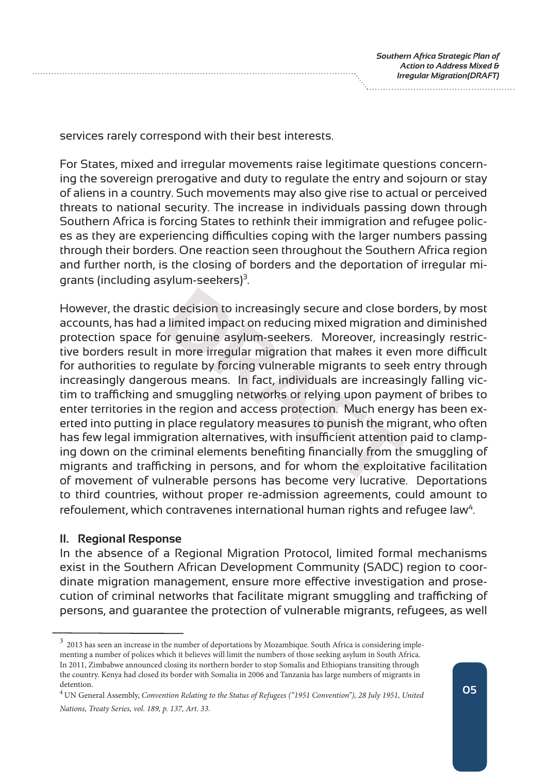services rarely correspond with their best interests.

For States, mixed and irregular movements raise legitimate questions concerning the sovereign prerogative and duty to regulate the entry and sojourn or stay of aliens in a country. Such movements may also give rise to actual or perceived threats to national security. The increase in individuals passing down through Southern Africa is forcing States to rethink their immigration and refugee polices as they are experiencing difficulties coping with the larger numbers passing through their borders. One reaction seen throughout the Southern Africa region and further north, is the closing of borders and the deportation of irregular migrants (including asylum-seekers) $3$ .

c decision to increasingly secure and close b<br>I limited impact on reducing mixed migration<br>or genuine asylum-seekers. Moreover, incre<br>n more irregular migration that makes it eve<br>gulate by forcing vulnerable migrants to se However, the drastic decision to increasingly secure and close borders, by most accounts, has had a limited impact on reducing mixed migration and diminished protection space for genuine asylum-seekers. Moreover, increasingly restrictive borders result in more irregular migration that makes it even more difficult for authorities to regulate by forcing vulnerable migrants to seek entry through increasingly dangerous means. In fact, individuals are increasingly falling victim to trafficking and smuggling networks or relying upon payment of bribes to enter territories in the region and access protection. Much energy has been exerted into putting in place regulatory measures to punish the migrant, who often has few legal immigration alternatives, with insufficient attention paid to clamping down on the criminal elements benefiting financially from the smuggling of migrants and trafficking in persons, and for whom the exploitative facilitation of movement of vulnerable persons has become very lucrative. Deportations to third countries, without proper re-admission agreements, could amount to refoulement, which contravenes international human rights and refugee law $4$ .

#### **II. Regional Response**

In the absence of a Regional Migration Protocol, limited formal mechanisms exist in the Southern African Development Community (SADC) region to coordinate migration management, ensure more effective investigation and prosecution of criminal networks that facilitate migrant smuggling and trafficking of persons, and guarantee the protection of vulnerable migrants, refugees, as well

<sup>3 2013</sup> has seen an increase in the number of deportations by Mozambique. South Africa is considering implementing a number of polices which it believes will limit the numbers of those seeking asylum in South Africa. In 2011, Zimbabwe announced closing its northern border to stop Somalis and Ethiopians transiting through the country. Kenya had closed its border with Somalia in 2006 and Tanzania has large numbers of migrants in detention.

<sup>4</sup> UN General Assembly, *Convention Relating to the Status of Refugees ("1951 Convention"), 28 July 1951, United Nations, Treaty Series, vol. 189, p. 137, Art. 33.*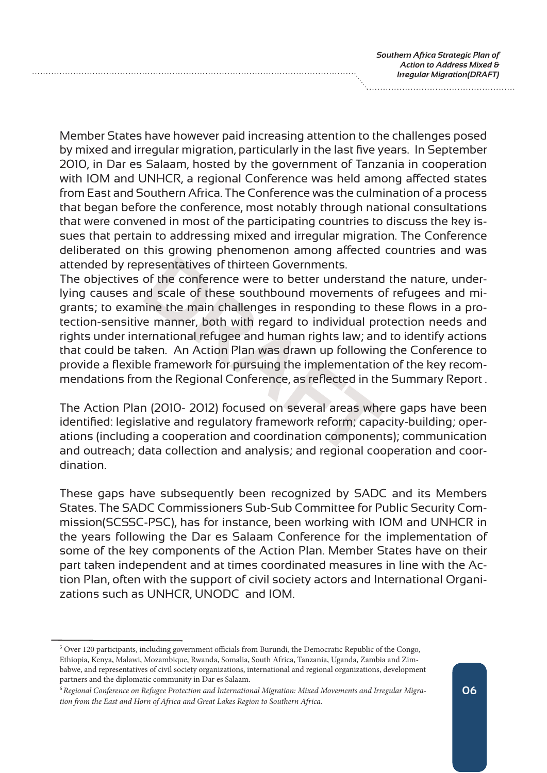Member States have however paid increasing attention to the challenges posed by mixed and irregular migration, particularly in the last five years. In September 2010, in Dar es Salaam, hosted by the government of Tanzania in cooperation with IOM and UNHCR, a regional Conference was held among affected states from East and Southern Africa. The Conference was the culmination of a process that began before the conference, most notably through national consultations that were convened in most of the participating countries to discuss the key issues that pertain to addressing mixed and irregular migration. The Conference deliberated on this growing phenomenon among affected countries and was attended by representatives of thirteen Governments.

resentatives of thirteen Governments.<br>
of the conference were to better understand<br>
of scale of these southbound movements o<br>
inne the main challenges in responding to the<br>
e manner, both with regard to individual pre<br>
ern The objectives of the conference were to better understand the nature, underlying causes and scale of these southbound movements of refugees and migrants; to examine the main challenges in responding to these flows in a protection-sensitive manner, both with regard to individual protection needs and rights under international refugee and human rights law; and to identify actions that could be taken. An Action Plan was drawn up following the Conference to provide a flexible framework for pursuing the implementation of the key recommendations from the Regional Conference, as reflected in the Summary Report .

The Action Plan (2010- 2012) focused on several areas where gaps have been identified: legislative and regulatory framework reform; capacity-building; operations (including a cooperation and coordination components); communication and outreach; data collection and analysis; and regional cooperation and coordination.

These gaps have subsequently been recognized by SADC and its Members States. The SADC Commissioners Sub-Sub Committee for Public Security Commission(SCSSC-PSC), has for instance, been working with IOM and UNHCR in the years following the Dar es Salaam Conference for the implementation of some of the key components of the Action Plan. Member States have on their part taken independent and at times coordinated measures in line with the Action Plan, often with the support of civil society actors and International Organizations such as UNHCR, UNODC and IOM.

<sup>&</sup>lt;sup>5</sup> Over 120 participants, including government officials from Burundi, the Democratic Republic of the Congo, Ethiopia, Kenya, Malawi, Mozambique, Rwanda, Somalia, South Africa, Tanzania, Uganda, Zambia and Zimbabwe, and representatives of civil society organizations, international and regional organizations, development partners and the diplomatic community in Dar es Salaam.

<sup>6</sup>*Regional Conference on Refugee Protection and International Migration: Mixed Movements and Irregular Migration from the East and Horn of Africa and Great Lakes Region to Southern Africa.*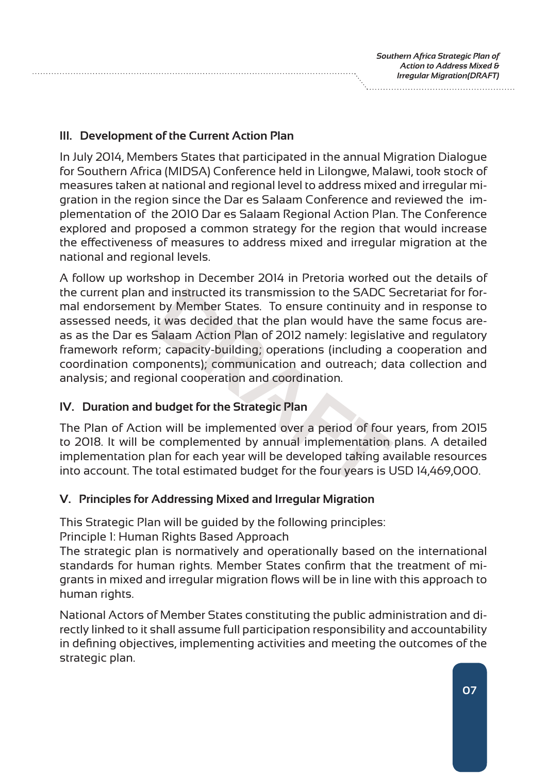**III. Development of the Current Action Plan**

In July 2014, Members States that participated in the annual Migration Dialogue for Southern Africa (MIDSA) Conference held in Lilongwe, Malawi, took stock of measures taken at national and regional level to address mixed and irregular migration in the region since the Dar es Salaam Conference and reviewed the implementation of the 2010 Dar es Salaam Regional Action Plan. The Conference explored and proposed a common strategy for the region that would increase the effectiveness of measures to address mixed and irregular migration at the national and regional levels.

Independent is transmission to the SADC S<br>
It by Member States. To ensure continuity and it was decided that the plan would have the<br>
Salaam Action Plan of 2012 namely: legislatin<br>
In; capacity-building; operations (includ A follow up workshop in December 2014 in Pretoria worked out the details of the current plan and instructed its transmission to the SADC Secretariat for formal endorsement by Member States. To ensure continuity and in response to assessed needs, it was decided that the plan would have the same focus areas as the Dar es Salaam Action Plan of 2012 namely: legislative and regulatory framework reform; capacity-building; operations (including a cooperation and coordination components); communication and outreach; data collection and analysis; and regional cooperation and coordination.

## **IV. Duration and budget for the Strategic Plan**

The Plan of Action will be implemented over a period of four years, from 2015 to 2018. It will be complemented by annual implementation plans. A detailed implementation plan for each year will be developed taking available resources into account. The total estimated budget for the four years is USD 14,469,000.

## **V. Principles for Addressing Mixed and Irregular Migration**

This Strategic Plan will be guided by the following principles:

Principle 1: Human Rights Based Approach

The strategic plan is normatively and operationally based on the international standards for human rights. Member States confirm that the treatment of migrants in mixed and irregular migration flows will be in line with this approach to human rights.

National Actors of Member States constituting the public administration and directly linked to it shall assume full participation responsibility and accountability in defining objectives, implementing activities and meeting the outcomes of the strategic plan.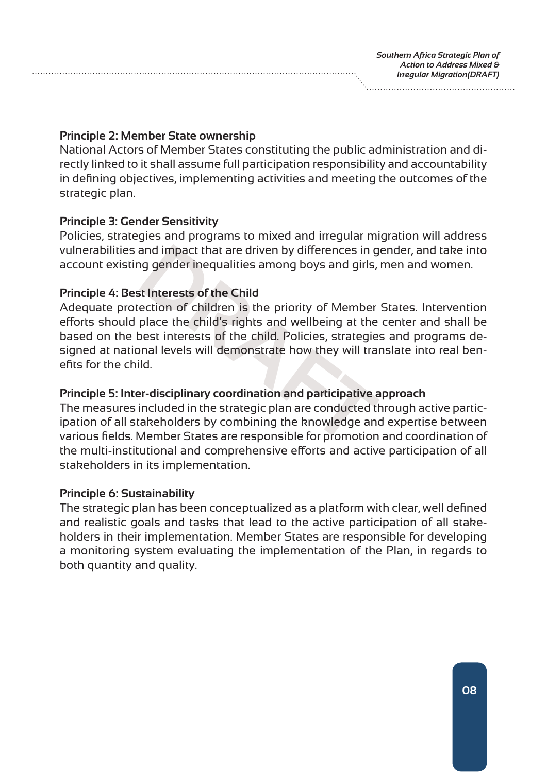#### **Principle 2: Member State ownership**

National Actors of Member States constituting the public administration and directly linked to it shall assume full participation responsibility and accountability in defining objectives, implementing activities and meeting the outcomes of the strategic plan.

### **Principle 3: Gender Sensitivity**

Policies, strategies and programs to mixed and irregular migration will address vulnerabilities and impact that are driven by differences in gender, and take into account existing gender inequalities among boys and girls, men and women.

## **Principle 4: Best Interests of the Child**

and impact that are driven by differences in g<br>or g gender inequalities among boys and girls,<br>it **Interests of the Child**<br>ection of children is the priority of Member<br>place the child's rights and wellbeing at the<br>pest inte Adequate protection of children is the priority of Member States. Intervention efforts should place the child's rights and wellbeing at the center and shall be based on the best interests of the child. Policies, strategies and programs designed at national levels will demonstrate how they will translate into real benefits for the child.

## **Principle 5: Inter-disciplinary coordination and participative approach**

The measures included in the strategic plan are conducted through active participation of all stakeholders by combining the knowledge and expertise between various fields. Member States are responsible for promotion and coordination of the multi-institutional and comprehensive efforts and active participation of all stakeholders in its implementation.

## **Principle 6: Sustainability**

The strategic plan has been conceptualized as a platform with clear, well defined and realistic goals and tasks that lead to the active participation of all stakeholders in their implementation. Member States are responsible for developing a monitoring system evaluating the implementation of the Plan, in regards to both quantity and quality.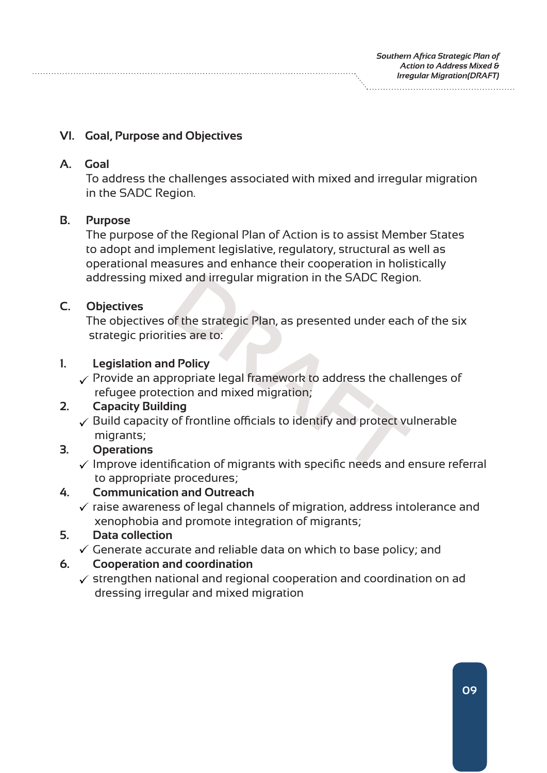#### **VI. Goal, Purpose and Objectives**

#### **A. Goal**

 To address the challenges associated with mixed and irregular migration in the SADC Region.

#### **B. Purpose**

 The purpose of the Regional Plan of Action is to assist Member States to adopt and implement legislative, regulatory, structural as well as operational measures and enhance their cooperation in holistically addressing mixed and irregular migration in the SADC Region.

### **C. Objectives**

 The objectives of the strategic Plan, as presented under each of the six strategic priorities are to:

#### **1. Legislation and Policy**

ed and irregular migration in the SADC Regio<br>of the strategic Plan, as presented under each<br>ies are to:<br>**d** Policy<br>propriate legal framework to address the chal<br>tion and mixed migration;<br>ing<br>of frontline officials to ident  $\checkmark$  Provide an appropriate legal framework to address the challenges of refugee protection and mixed migration;

## **2. Capacity Building**

 $\checkmark$  Build capacity of frontline officials to identify and protect vulnerable migrants;

## **3. Operations**

 $\checkmark$  Improve identification of migrants with specific needs and ensure referral to appropriate procedures;

## **4. Communication and Outreach**

 $\checkmark$  raise awareness of legal channels of migration, address intolerance and xenophobia and promote integration of migrants;

## **5. Data collection**

 $\checkmark$  Generate accurate and reliable data on which to base policy; and

#### **6. Cooperation and coordination**

 $\checkmark$  strengthen national and regional cooperation and coordination on ad dressing irregular and mixed migration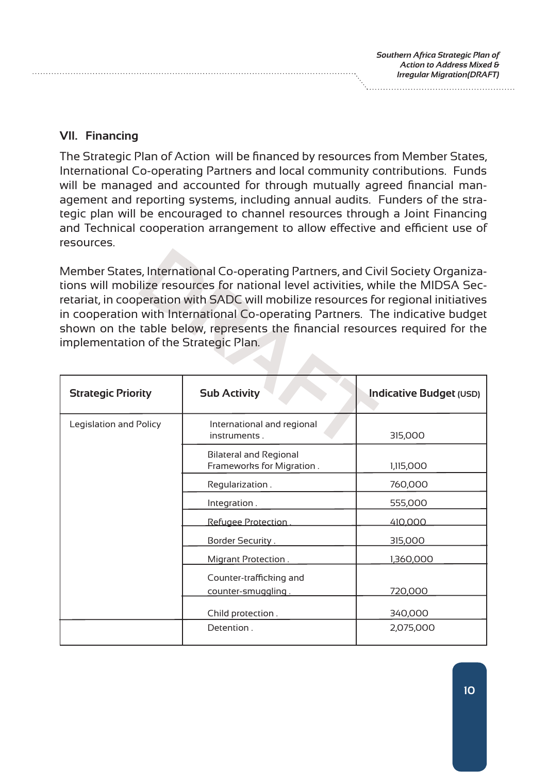**VII. Financing**

The Strategic Plan of Action will be financed by resources from Member States, International Co-operating Partners and local community contributions. Funds will be managed and accounted for through mutually agreed financial management and reporting systems, including annual audits. Funders of the strategic plan will be encouraged to channel resources through a Joint Financing and Technical cooperation arrangement to allow effective and efficient use of resources.

**S**, International Co-operating Partners, and Civities (Weight Units of Contraction with SADC will mobilize resources for with International Co-operating Partners. The stable below, represents the financial resources on of Member States, International Co-operating Partners, and Civil Society Organizations will mobilize resources for national level activities, while the MIDSA Secretariat, in cooperation with SADC will mobilize resources for regional initiatives in cooperation with International Co-operating Partners. The indicative budget shown on the table below, represents the financial resources required for the implementation of the Strategic Plan.

| <b>Strategic Priority</b> | <b>Sub Activity</b>                                        | Indicative Budget (USD) |
|---------------------------|------------------------------------------------------------|-------------------------|
| Legislation and Policy    | International and regional<br>instruments.                 | 315,000                 |
|                           | <b>Bilateral and Regional</b><br>Frameworks for Migration. | 1,115,000               |
|                           | Regularization.                                            | 760,000                 |
|                           | Integration.                                               | 555,000                 |
|                           | Refugee Protection                                         | 410,000                 |
|                           | Border Security.                                           | 315,000                 |
|                           | Migrant Protection.                                        | 1,360,000               |
|                           | Counter-trafficking and<br>counter-smuggling.              | 720,000                 |
|                           | Child protection.                                          | 340,000                 |
|                           | Detention.                                                 | 2,075,000               |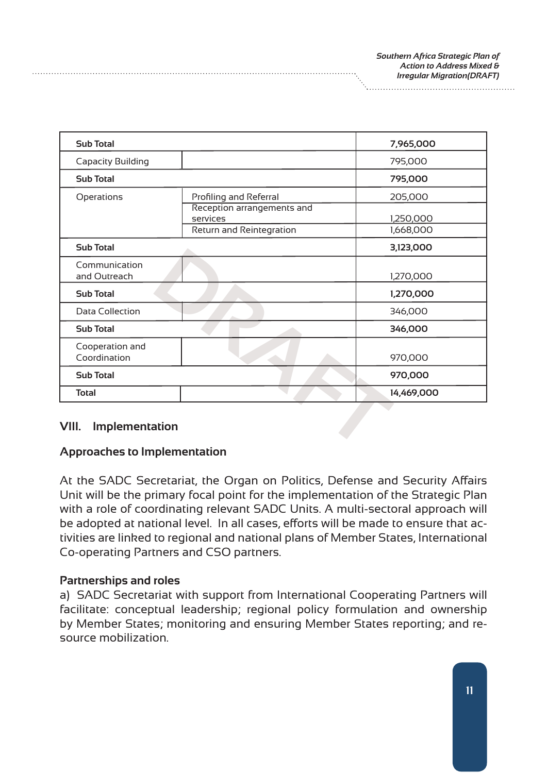| <b>Sub Total</b>                |                                        | 7,965,000  |
|---------------------------------|----------------------------------------|------------|
| <b>Capacity Building</b>        |                                        | 795,000    |
| <b>Sub Total</b>                |                                        | 795,000    |
| Operations                      | Profiling and Referral                 | 205,000    |
|                                 | Reception arrangements and<br>services | 1,250,000  |
|                                 | Return and Reintegration               | 1,668,000  |
| <b>Sub Total</b>                |                                        | 3,123,000  |
| Communication<br>and Outreach   |                                        | 1,270,000  |
| <b>Sub Total</b>                |                                        | 1,270,000  |
| <b>Data Collection</b>          |                                        | 346,000    |
| <b>Sub Total</b>                |                                        | 346,000    |
| Cooperation and<br>Coordination |                                        | 970,000    |
| <b>Sub Total</b>                |                                        | 970,000    |
| <b>Total</b>                    |                                        | 14,469,000 |

## **VIII. Implementation**

#### **Approaches to Implementation**

At the SADC Secretariat, the Organ on Politics, Defense and Security Affairs Unit will be the primary focal point for the implementation of the Strategic Plan with a role of coordinating relevant SADC Units. A multi-sectoral approach will be adopted at national level. In all cases, efforts will be made to ensure that activities are linked to regional and national plans of Member States, International Co-operating Partners and CSO partners.

#### **Partnerships and roles**

a) SADC Secretariat with support from International Cooperating Partners will facilitate: conceptual leadership; regional policy formulation and ownership by Member States; monitoring and ensuring Member States reporting; and resource mobilization.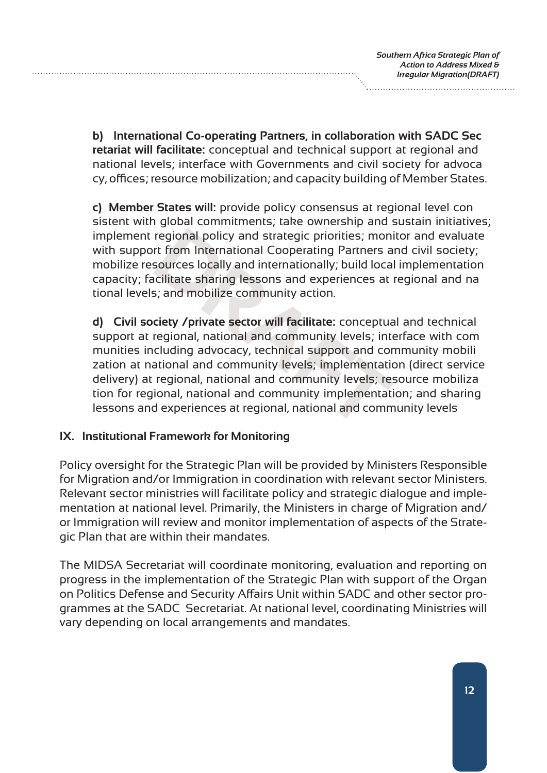**b) International Co-operating Partners, in collaboration with SADC Sec retariat will facilitate:** conceptual and technical support at regional and national levels; interface with Governments and civil society for advoca cy, offices; resource mobilization; and capacity building of Member States.

**c) Member States will:** provide policy consensus at regional level con sistent with global commitments; take ownership and sustain initiatives; implement regional policy and strategic priorities; monitor and evaluate with support from International Cooperating Partners and civil society; mobilize resources locally and internationally; build local implementation capacity; facilitate sharing lessons and experiences at regional and na tional levels; and mobilize community action.

regional policy and strategic priorities; monint from International Cooperating Partners a<br>sources locally and internationally; build loca<br>acilitate sharing lessons and experiences at<br>s; and mobilize community action.<br>ciet **d) Civil society /private sector will facilitate:** conceptual and technical support at regional, national and community levels; interface with com munities including advocacy, technical support and community mobili zation at national and community levels; implementation (direct service delivery) at regional, national and community levels; resource mobiliza tion for regional, national and community implementation; and sharing lessons and experiences at regional, national and community levels

## **IX. Institutional Framework for Monitoring**

Policy oversight for the Strategic Plan will be provided by Ministers Responsible for Migration and/or Immigration in coordination with relevant sector Ministers. Relevant sector ministries will facilitate policy and strategic dialogue and implementation at national level. Primarily, the Ministers in charge of Migration and/ or Immigration will review and monitor implementation of aspects of the Strategic Plan that are within their mandates.

The MIDSA Secretariat will coordinate monitoring, evaluation and reporting on progress in the implementation of the Strategic Plan with support of the Organ on Politics Defense and Security Affairs Unit within SADC and other sector programmes at the SADC Secretariat. At national level, coordinating Ministries will vary depending on local arrangements and mandates.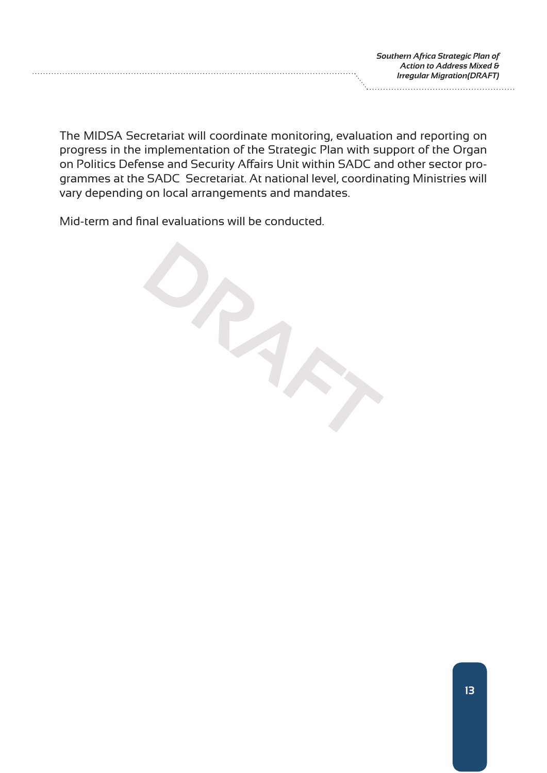The MIDSA Secretariat will coordinate monitoring, evaluation and reporting on progress in the implementation of the Strategic Plan with support of the Organ on Politics Defense and Security Affairs Unit within SADC and other sector programmes at the SADC Secretariat. At national level, coordinating Ministries will vary depending on local arrangements and mandates.

Mid-term and final evaluations will be conducted.

**DRAFT**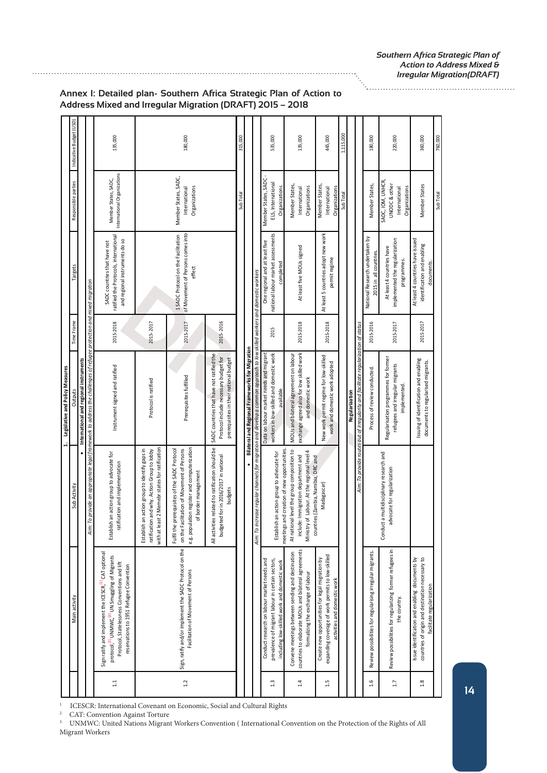|              |                                                                                                                                                                                                                                         |                                                                                                                                                                                | 1. Legislative and Policy Measures                                                                                                                                                                                    |            |                                                                                                         |                                                                                 |                         |
|--------------|-----------------------------------------------------------------------------------------------------------------------------------------------------------------------------------------------------------------------------------------|--------------------------------------------------------------------------------------------------------------------------------------------------------------------------------|-----------------------------------------------------------------------------------------------------------------------------------------------------------------------------------------------------------------------|------------|---------------------------------------------------------------------------------------------------------|---------------------------------------------------------------------------------|-------------------------|
|              | Main activity                                                                                                                                                                                                                           | Sub Activity                                                                                                                                                                   | Output                                                                                                                                                                                                                | Time Frame | Targets                                                                                                 | Responsible parties                                                             | Indicative Budget (USD) |
|              |                                                                                                                                                                                                                                         |                                                                                                                                                                                | International and regional instruments                                                                                                                                                                                |            |                                                                                                         |                                                                                 |                         |
|              |                                                                                                                                                                                                                                         | ₹                                                                                                                                                                              | m: To provide an appropriate legal framework to address the challenges of refugee protection and mixed migration                                                                                                      |            |                                                                                                         |                                                                                 |                         |
| $\mathbb{1}$ | Sign ratify and implement the ICESCR, <sup>[1]</sup> CAT optional<br>protocol, <sup>[2]</sup> UNMWC, <sup>[3]</sup> UN Smuggling of Migrants<br>Protocol, Statelessness Conventions and lift<br>reservations to 1951 Refugee Convention | Establish an action group to advocate for<br>ratification and implementation                                                                                                   | Instrument signed and ratified                                                                                                                                                                                        | 2015-2018  | ratified the Protocols, international<br>and regional instruments do so<br>SADC countries that have not | International Organizations<br>Member States, SADC,                             | 135,000                 |
|              |                                                                                                                                                                                                                                         | with at least 2 Memebr states for ratification<br>Establish an action group to identify gaps in<br>ratification and why. Action Group to lobby                                 | Protocol is ratified                                                                                                                                                                                                  | 2015-2017  |                                                                                                         |                                                                                 |                         |
| 1.2          | Sign, ratify and/or implement the SADC Protocol on the<br>Facilitation of Movement of Persons                                                                                                                                           | Fulfil the prerequisites of the SADC Protocol<br>e.g. population register and computerization<br>Facilitation of Movement of Persons<br>of border management<br>on the         | Prerequisites fulfilled                                                                                                                                                                                               | 2015-2017  | of Movement of Persons comes into<br>1 SADC Protocol on the Facilitation<br>effect                      | Member States, SADC,<br>Organizations<br>International                          | 180,000                 |
|              |                                                                                                                                                                                                                                         | vities related to ratification should be<br>budgeted for in 2016/2017 in national<br>budgets<br>All activ                                                                      | SADC countries that have not ratified the<br>Protocol include necessary budget for<br>prerequisites in their national budget                                                                                          | 2015-2016  |                                                                                                         |                                                                                 |                         |
|              |                                                                                                                                                                                                                                         |                                                                                                                                                                                |                                                                                                                                                                                                                       |            |                                                                                                         | Sub Tota                                                                        | 315,000                 |
|              |                                                                                                                                                                                                                                         |                                                                                                                                                                                | Bilateral and Regional Frameworks for Migration                                                                                                                                                                       |            |                                                                                                         |                                                                                 |                         |
| 1.3          | Conduct research on labour market needs and<br>prevalence of migrant labour in certain sectors,<br>including low-skilled work and domestic work                                                                                         | Establish an action group to advocate for<br>Aim:                                                                                                                              | increase regular channels for migration and develop a common approach to low skilled workers and domestic workers<br>workers in low-skilled and domestic work<br>Data on labour market needs and migrant<br>available | 2015       | national labour market assessments<br>One regional and at least five<br>completed                       | Member States, SADC<br>ELS, International<br>Organizations                      | 535,000                 |
| 1.4          | countries to elaborate MOUs and bilateral agreements<br>Convene meetings between sending and destination<br>formalizing the exchange of labour                                                                                          | meetings and creation of new opportunities<br>At national level the group composition to<br>Ministry of Labour. At the regional level 4<br>include: Immigration department and | exchange agreed also for low skilled work<br>MOUs and bilateral agreement on labour<br>and domestic work                                                                                                              | 2015-2018  | At least five MOUs signed                                                                               | Member States,<br>Organizations<br>International                                | 135,000                 |
| 1.5          | expanding coverage of work permits to low-skilled<br>Create new opportunities for legal migration by<br>activities and domestic work                                                                                                    | countries (Zambia, Namibia, DRC and<br>Madagascar)                                                                                                                             | New work permit regime for low-skilled<br>work and domestic work adopted                                                                                                                                              | 2015-2018  | At least 5 countries adopt new work<br>permit regime                                                    | Member States,<br>Organizations<br>International                                | 445,000                 |
|              |                                                                                                                                                                                                                                         |                                                                                                                                                                                |                                                                                                                                                                                                                       |            |                                                                                                         | Sub Total                                                                       | 1,115,000               |
|              |                                                                                                                                                                                                                                         |                                                                                                                                                                                | Aim: To provide routes out of irregularity and facilitate regularization of status<br>Regulariaation                                                                                                                  |            |                                                                                                         |                                                                                 |                         |
| 1.6          | Review possibilities for regularising irregular migrants.                                                                                                                                                                               |                                                                                                                                                                                | Process of review conducted.                                                                                                                                                                                          | 2015-2016  | National Research undertaken by<br>2015 in all countries                                                | Member States,                                                                  | 180,000                 |
| $1.7\,$      | Review possibilities for regularizing former refugees in<br>the country.                                                                                                                                                                | Conduct a multidisciplinary research and<br>advocate for regularization                                                                                                        | Regularisation programmes for former<br>refugees and irregular migrants<br>implemented.                                                                                                                               | 2015-2017  | implemented the regularization<br>At least 4 countries have<br>programmes.                              | SADC, IOM, UNHCR,<br><b>UNODC &amp; other</b><br>Organizations<br>International | 220,000                 |
| 1.8          | Issue identification and enabling documents by<br>countries of origin and destination necessary to<br>facilitate regularization                                                                                                         |                                                                                                                                                                                | Issuing of identification and enabling<br>documents to regularised migrants.                                                                                                                                          | 2015-2017  | At least 4 countries have issued<br>identification and enabling<br>documents                            | Member States                                                                   | 360,000                 |
|              |                                                                                                                                                                                                                                         |                                                                                                                                                                                |                                                                                                                                                                                                                       |            |                                                                                                         | Sub Tota                                                                        | 760.000                 |

#### **Annex I: Detailed plan- Southern Africa Strategic Plan of Action to Address Mixed and Irregular Migration (DRAFT) 2015 – 2018**

<sup>1.</sup> ICESCR: International Covenant on Economic, Social and Cultural Rights

2. CAT: Convention Against Torture

3. UNMWC: United Nations Migrant Workers Convention ( International Convention on the Protection of the Rights of All Migrant Workers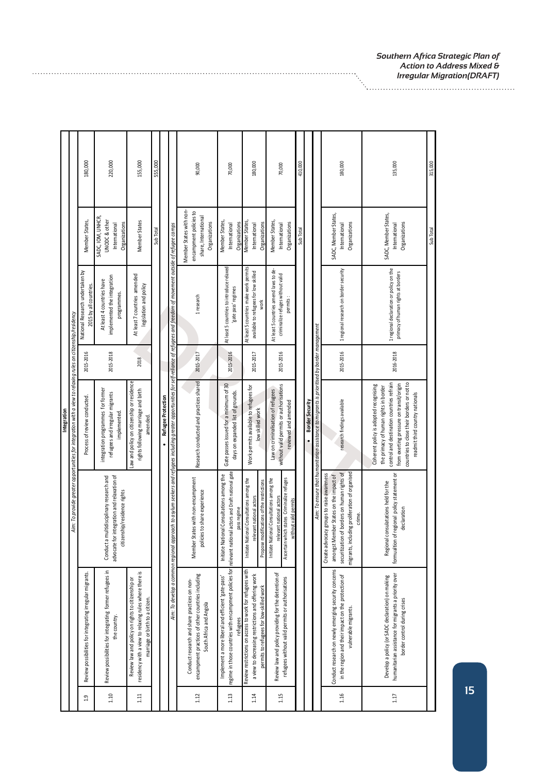|             |                                                                                                              | 180,000                                                  | 220,000                                                                                                                | 155,000                                                                                                                                        | 555,000   |                                                                                                                                                                                          | 90,000                                                                                                                       | 70,000                                                                                                                   | 180,000                                                                                                                                                    | 70,000                                                                                                                                          | 410,000   |                                                                                                                | 180,000                                                                                                                                                                                                     | 135,000                                                                                                                                                                                                                                                   | 315,000   |
|-------------|--------------------------------------------------------------------------------------------------------------|----------------------------------------------------------|------------------------------------------------------------------------------------------------------------------------|------------------------------------------------------------------------------------------------------------------------------------------------|-----------|------------------------------------------------------------------------------------------------------------------------------------------------------------------------------------------|------------------------------------------------------------------------------------------------------------------------------|--------------------------------------------------------------------------------------------------------------------------|------------------------------------------------------------------------------------------------------------------------------------------------------------|-------------------------------------------------------------------------------------------------------------------------------------------------|-----------|----------------------------------------------------------------------------------------------------------------|-------------------------------------------------------------------------------------------------------------------------------------------------------------------------------------------------------------|-----------------------------------------------------------------------------------------------------------------------------------------------------------------------------------------------------------------------------------------------------------|-----------|
|             |                                                                                                              | Member States,                                           | SADC, IOM, UNHCR,<br><b>UNODC&amp;</b> other<br>Organizations<br>International                                         | Member States                                                                                                                                  | Sub Total |                                                                                                                                                                                          | Member States with non-<br>encampment policies to<br>share, International<br>Organizations                                   | Member States,<br>Organizations<br>International                                                                         | Member States,<br>International<br>Organizations                                                                                                           | Member States,<br>Organizations<br>International                                                                                                | Sub Total |                                                                                                                | SADC, Member States,<br>Organizations<br>International                                                                                                                                                      | SADC, Member States,<br>Organizations<br>International                                                                                                                                                                                                    | Sub Total |
|             |                                                                                                              | National Research undertaken by<br>2015 by all countries | implemented the integration<br>At least 4 countries have<br>programmes.                                                | At least 7 countries amended<br>legislation and policy                                                                                         |           |                                                                                                                                                                                          | 1 research                                                                                                                   | At least 5 countries to introduce relaxed<br>gate pass' regimes                                                          | At least 5 countries make work permits<br>available to refugees for low skilled<br>work                                                                    | At least 5 countries amend laws to de-<br>criminalize refuges without valid<br>permits:                                                         |           |                                                                                                                | 1 regional research on border security                                                                                                                                                                      | 1 regional declaration or policy on the<br>primacy of human rights at borders                                                                                                                                                                             |           |
|             |                                                                                                              | 2015-2016                                                | 2015-2018                                                                                                              | 2018                                                                                                                                           |           |                                                                                                                                                                                          | 2015-2017                                                                                                                    | 2015-2016                                                                                                                | 2015-2017                                                                                                                                                  | 2015-2016                                                                                                                                       |           |                                                                                                                | 2015-2016                                                                                                                                                                                                   | 2016-2018                                                                                                                                                                                                                                                 |           |
| Integration | Aim: To provide greater opportunities for integration with a view to relaxing rules on citizenship/residency | Process of review conducted.                             | integration programmes for former<br>refugees and irregular migrants<br>implemented.                                   | Law and policy on citizenship or residence<br>rights following marriage and birth<br>amended.                                                  |           | Refugee Protection                                                                                                                                                                       | Research conducted and practices shared                                                                                      | Gate passes issued for a minimum of 30<br>days on expanded list of grounds.                                              | Work permits available to refugees for<br>low skilled work                                                                                                 | without valid permits or authorisations<br>Law on criminalisation of refugees<br>reviewed and amended                                           |           | Aim: To ensure that humanitarian assistance to migrants is prioritised by border management<br>Border Security | research findings available                                                                                                                                                                                 | control and destination countries refrain<br>countries to close their borders or not to<br>from exerting pressure on transit/origin<br>Coherent policy is adopted recognising<br>the primacy of human rights in border<br>readmit third country nationals |           |
|             |                                                                                                              |                                                          | advocate for integration and relaxation of<br>Conduct a multidisciplinary research and<br>citizenship/residence rights |                                                                                                                                                |           | Aim. To develop a common regional approach to asylum seekers and refugees including preater opportunities for self-reliance of refugees and freedom of movement outside of refugee camps | Member States with non-encampment<br>policies to share experience                                                            | relevant national actors and Draft national gate<br>National Consultations among the<br>pass regime<br>Initiate I        | National Consultations among the<br>Propose modifications of the restrictions<br>relevant national actors<br>Initiate                                      | Ascertain which states Criminalize refuges<br>National Consultations among the<br>relevant national actors<br>without valid permits<br>Initiate |           |                                                                                                                | tion of borders on human rights of<br>including proliferation of organised<br>Ivocacy groups to raise awareness<br>amongst Member States on the impact of<br>crime.<br>Create ao<br>securitiza<br>migrants, | formualtion of regional policy statement or<br>Regional consulatations held for the<br>declaration                                                                                                                                                        |           |
|             |                                                                                                              | Review possibilities for integrating irregular migrants. | Review possibilities for integrating former refugees in<br>the country.                                                | residency with a view to relaxing rules where there is<br>Review law and policy on rights to citizenship or<br>marriage or birth to a citizen. |           |                                                                                                                                                                                          | encampment practices of other countries including<br>Conduct research and share practices on non-<br>South Africa and Angola | regime in those countries with encampment policies for<br>Implement a more liberal and efficient 'gate-pass'<br>refugees | Review restrictions on access to work for refugees with<br>a view to decreasing restrictions and offering work<br>permits to refugees for low-skilled work | Review law and policy providing for the detention of<br>refugees without valid permits or authorisations                                        |           |                                                                                                                | Conduct research on newly emerging security concerns<br>in the region and their impact on the protection of<br>vulnerable migrants.                                                                         | humanitarian assistance for migrants a priority over<br>Develop a policy (or SADC declaration) on making<br>border control during crises                                                                                                                  |           |
|             |                                                                                                              | 1.9                                                      | 1.10                                                                                                                   | 1.11                                                                                                                                           |           |                                                                                                                                                                                          | $1.12\,$                                                                                                                     | $1.13$                                                                                                                   | $1.14$                                                                                                                                                     | 1.15                                                                                                                                            |           |                                                                                                                | 1.16                                                                                                                                                                                                        | $1.1\overline{7}$                                                                                                                                                                                                                                         |           |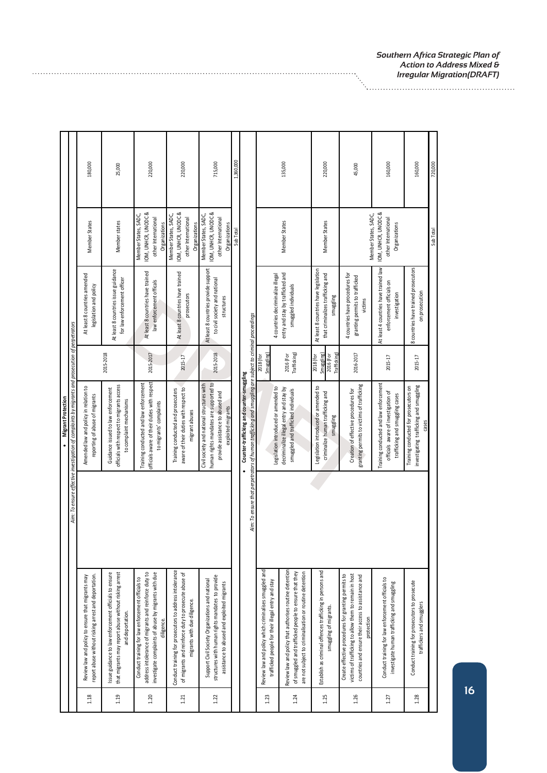|                                                                                                                                                                                    | Aim: To ensure effective investigation of complaints by migrants and prosecution of perpetrators<br><b>Migrant Protection</b><br>$\bullet$           |                                                    |                                                                                         |                                                                                     |           |
|------------------------------------------------------------------------------------------------------------------------------------------------------------------------------------|------------------------------------------------------------------------------------------------------------------------------------------------------|----------------------------------------------------|-----------------------------------------------------------------------------------------|-------------------------------------------------------------------------------------|-----------|
| report abuse without risking arrest and deportation.<br>Review law and policy to ensure that migrants may                                                                          | Amended law and policy in relation to<br>reporting of abuse of migrants                                                                              |                                                    | At least 8 countries amended<br>legislation and policy                                  | Member States                                                                       | 180,000   |
| that migrants may report abuse without risking arrest<br>Issue guidance to law enforcement officials to ensure<br>and deportation.                                                 | officials with respect to migrants access<br>Guidance issued to law enforcement<br>to complaint mechanisms                                           | 2015-2018                                          | At least 8 countries issue guidance<br>for law enforcement officer                      | Member states                                                                       | 25,000    |
| address intolerance of migrants and reinforce duty to<br>investigate complaints of abuse by migrants with due<br>Conduct training for law enforcement officials to<br>diligence.   | officials aware of their duties with respect<br>Training conducted and law enforcement<br>to migrants' complaints                                    | 2015-2017                                          | At least 8 countries have trained<br>law enforcement officals                           | OM, UNHCR, UNODC &<br>Member States, SADC,<br>other International<br>Organizations  | 220,000   |
| Conduct training for prosecutors to address intolerance<br>of migrants and reinforce duty to prosecute abuse of<br>migrants with due diligence.                                    | aware of their duties with respect to<br>Training conducted and prosecuters<br>migrant abuses                                                        | 2015-17                                            | At least 8 countries have trained<br>prosecutors                                        | OM, UNHCR, UNODC &<br>Member States, SADC,<br>other International<br>Organizations  | 220,000   |
| structures with human rights mandates to provide<br>Support Civil Society Organizations and national<br>assistance to abused and exploited migrants                                | human rights mandates are supported to<br>Civil society and national structures with<br>provide assistance to abused and<br>exploited migrants       | 2015-2018                                          | At least 8 countries provide support<br>to civil society and national<br>structures     | IOM, UNHCR, UNODC &<br>Member States, SADC,<br>other International<br>Organizations | 715,000   |
|                                                                                                                                                                                    |                                                                                                                                                      |                                                    |                                                                                         | Sub Total                                                                           | 1,360,000 |
|                                                                                                                                                                                    | Aim: To ensure that perpetrators of human trafficking and smuggling are subject to criminal proceedings<br>Counter-trafficking and counter-smuggling |                                                    |                                                                                         |                                                                                     |           |
| Review law and policy which criminalises smuggled and<br>trafficked people for their illegal entry and stay                                                                        | Legislation introduced or amended to                                                                                                                 | <b>Smuggling</b><br>2018 (for                      | 4 countries decriminalize illegal                                                       |                                                                                     |           |
| Review law and policy that authorises routine detention<br>are not subject to criminalisation or routine detention<br>of smuggled and trafficked people to ensure that they        | decriminalize illegal entry and stay by<br>smuggled and trafficked individuals                                                                       | Trafficking)<br>2016 (For                          | entry and stay by trafficked and<br>smuggled individuals                                | Member States                                                                       | 135,000   |
| Establish as criminal offences trafficking in persons and<br>smuggling of migrants.                                                                                                | Legislation introduced or amended to<br>criminalize human trafficking and<br>smuggling                                                               | Trafficking<br>smuggling<br>2016 (For<br>2018 (for | At least 8 countries have legislation<br>that criminalizes trafficking and<br>smuggling | Member States                                                                       | 220,000   |
| Create effective procedures for granting permits to<br>victims of trafficking to allow them to remain in host<br>countries and ensure their access to assistance and<br>protection | granting permits to victims of trafficking<br>Creation of effective procedures for                                                                   | 2016-2017                                          | 4 countries have procedures for<br>granting permits to trafficked<br>victims            | Member States, SADC,                                                                | 45,000    |
| Conduct training for law enforcement officials to<br>investigate human trafficking and smuggling                                                                                   | Training conducted and law enforcement<br>officials aware of investigation of<br>trafficking and smuggling cases                                     | 2015-17                                            | At least 4 countries have trained law<br>enforcement officials on<br>investigation      | IOM, UNHCR, UNODC &<br>other International<br>Organizations                         | 160,000   |
| Conduct training for prosecutors to prosecute<br>traffickers and smugglers                                                                                                         | nvestigating trafficking and smuggling<br>Training conducted for prosecutors on<br>cases                                                             | 2015-17                                            | 8 countries have trained prosecutors<br>on prosecution                                  |                                                                                     | 160,000   |
|                                                                                                                                                                                    |                                                                                                                                                      |                                                    |                                                                                         | Sub Total                                                                           | 720.000   |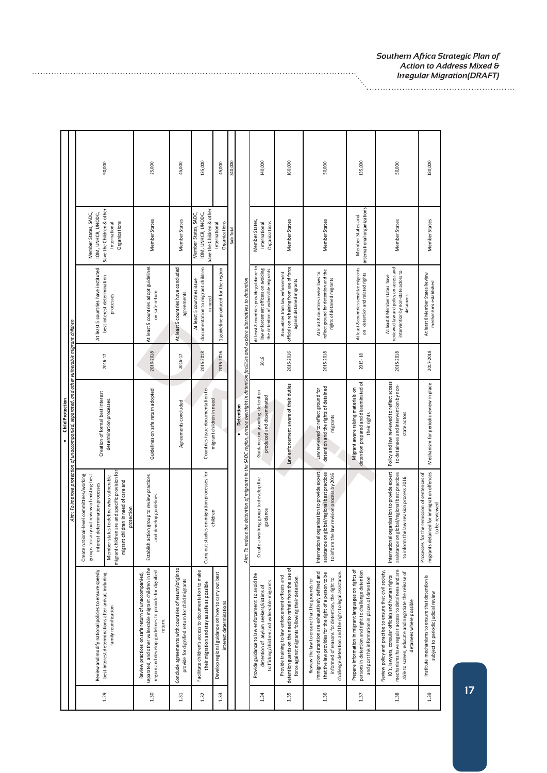|          |                                                                                                                                                                                                                                                                           |                                                                                                                                                                                                                                                                  | Aim: To improve protection of unaccompanied, separated, and other vulnerable migrant children<br><b>Child Protection</b> |           |                                                                                                                            |                                                                                                           |         |
|----------|---------------------------------------------------------------------------------------------------------------------------------------------------------------------------------------------------------------------------------------------------------------------------|------------------------------------------------------------------------------------------------------------------------------------------------------------------------------------------------------------------------------------------------------------------|--------------------------------------------------------------------------------------------------------------------------|-----------|----------------------------------------------------------------------------------------------------------------------------|-----------------------------------------------------------------------------------------------------------|---------|
| 1.29     | Review and modify national policies to ensure speedy<br>best interest determinations after arrival, including<br>family reunification                                                                                                                                     | migrant children are and specific provision for<br>Create national-level committees/working<br>groups to carry out review of existing best<br>Member states to define who vulnerable<br>migrant children in need of care and<br>interest determination processes | Creation of formal best interest<br>determination processes.                                                             | 2016-17   | At least 5 countries have instituted<br>best interest determination<br>processes                                           | Save the Children & other<br>Member States, SADC,<br>IOM, UNHCR, UNODC,<br>Organizations<br>International | 90,000  |
| 1.30     | separated, and other vulnerable migrant children in the<br>region and develop guidelines to provide for dignified<br>Review practices on safe return of unaccompanied,<br>return.                                                                                         | Establish action group to review practices<br>and develop guidelines<br>protection                                                                                                                                                                               | Guidelines on safe return adopted                                                                                        | 2016-2018 | At least 5 countries adopt guidelines<br>on safe return                                                                    | Member States                                                                                             | 25,000  |
| $1.31\,$ | Conclude agreements with countries of return/origin to<br>provide for dignified return for child migrants                                                                                                                                                                 |                                                                                                                                                                                                                                                                  | Agreements concluded                                                                                                     | 2016-17   | At least 5 countries have concluded<br>agreements                                                                          | Member States                                                                                             | 45,000  |
| $1.32$   | Facilitate children's access to documentation to make<br>their migration and stay as safe as possible                                                                                                                                                                     | Carry out studies on migration processes for                                                                                                                                                                                                                     | Countries issue documentation to                                                                                         | 2015-2018 | documentation to migrant children<br>At least 5 countries issue<br>in need                                                 | Save the Children & other<br>Member States, SADC,<br>IOM, UNHCR, UNODC,                                   | 135,000 |
| 1.33     | Develop regional guidance on how to carry out best<br>interest determinations                                                                                                                                                                                             | children                                                                                                                                                                                                                                                         | migrant children in need                                                                                                 | 2015-2016 | 1 guideline produced for the region                                                                                        | Organizations<br>International                                                                            | 45,000  |
|          |                                                                                                                                                                                                                                                                           |                                                                                                                                                                                                                                                                  |                                                                                                                          |           |                                                                                                                            | Sub Tota                                                                                                  | 340,000 |
|          |                                                                                                                                                                                                                                                                           | Aim: To reduce the detention of migrants in the SADC region, ensure oversight in detention facilities and explore alternatives to detention                                                                                                                      | Detention                                                                                                                |           |                                                                                                                            |                                                                                                           |         |
| 1.34     | Provide guidance to law enforcement to avoid the<br>trafficking/children and vulnerable migrants<br>detention of asylum seekers/victims of                                                                                                                                | a working group to develop the<br>guidance<br>Create                                                                                                                                                                                                             | Guidance on avoiding detention<br>produced and disseminated                                                              | 2016      | At least 8 countries provide guidance to<br>law enforcement officers on avoiding<br>the detention of vulnerable migrants   | Member States,<br>Organizations<br>International                                                          | 140,000 |
| 1.35     | detention guards on the need to refrain from the use of<br>Provide training to law enforcement officers and<br>force against migrants following their detention.                                                                                                          |                                                                                                                                                                                                                                                                  | Law enforcement aware of their duties                                                                                    | 2015-2016 | officials on refraining from use of force<br>8 countries train law enforcement<br>against detained migrants                | Member States                                                                                             | 160,000 |
| 1.36     | immigration detention are exhaustively defined and<br>that the law provides for the right of a person to be<br>challenge detention and the right to legal assistance.<br>informed of reasons for detention, the right to<br>Review the law to ensure that the grounds for | International organisation to provide expert<br>on global/regional best practices<br>the law revision process by 2016<br>assistance<br>to inform                                                                                                                 | detention and the rights of detained<br>Law reviewed to reflect ground for<br>migrants                                   | 2015-2018 | reflect ground for detention and the<br>At least 8 countries revise laws to<br>rights of detained migrants                 | Member States                                                                                             | 50,000  |
| 1.37     | Prepare information in migrant languages on rights of<br>persons in detention and right to challenge detention<br>and post this information in places of detention                                                                                                        |                                                                                                                                                                                                                                                                  | detention prepared and disseminated of<br>Migrant aware raising materials on<br>their rights                             | 2015-18   | At least 8 countries sensitize migrants<br>on detention and related rights                                                 | international organizations<br>Member States and                                                          | 135,000 |
| 1.38     | mechanisms have regular access to detainees and are<br>Review policy and practise to ensure that civil society,<br>able to screen, educate and negotiate the release of<br>IO's, lawyers, consular officials and human rights<br>detainees where possible                 | International organisation to provide expert<br>assistance on global/regional best practices<br>to inform the law revision process 2016                                                                                                                          | Policy and law reviewed to reflect access<br>to detainees and intervention by non-<br>state actors                       | 2015-2018 | reviewed law and policy on access and<br>intervention by non-state actors to<br>At least 8 Member states have<br>detainees | Member States                                                                                             | 50,000  |
| 1.39     | Institute mechanisms to ensure that detention is<br>subject to periodic judicial review                                                                                                                                                                                   | letained for immigration offences<br>for the remission of sentences of<br>to be reviewed<br>Processes<br>migrants c                                                                                                                                              | Mechanism for periodic review in place                                                                                   | 2017-2018 | At least 8 Member States Review<br>mechanisms established                                                                  | Member States                                                                                             | 180,000 |

*Southern Africa Strategic Plan of*<br>Action to Address Mixed &<br>Irregular Migration(DRAFT) *Action to Address Mixed & Irregular Migration(DRAFT)*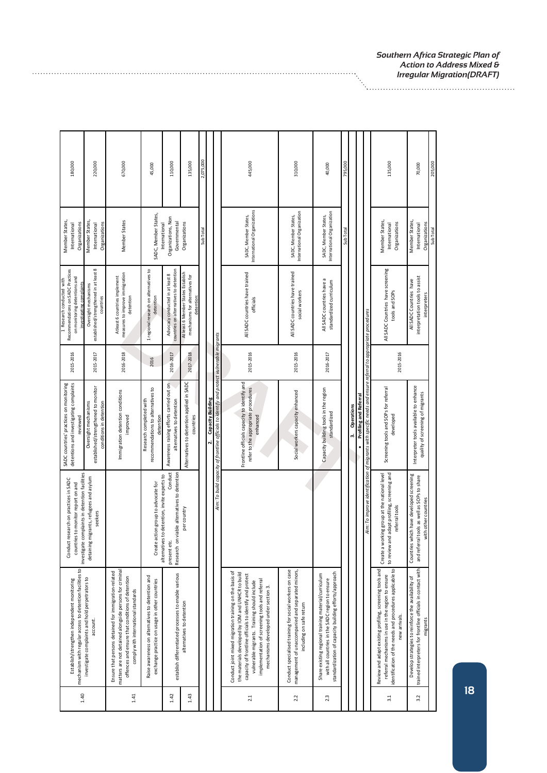| 180,000<br>220,000                                                                                                                                                                          | 670,000                                                                                                                                                                                                    | 45,000                                                                                            | 110,000                                                                                                                | 135,000                                                                             | 2,075,000 |                                                                                                                     | 445,000                                                                                                                                                                                                                                                                                                           | 310,000                                                                                                                                  | 40,000                                                                                                                                                           | 795,000   |                 |                                                                                                                                               | 135,000                                                                                                                                                                                     | 70,000                                                                                                                          | 205,000   |
|---------------------------------------------------------------------------------------------------------------------------------------------------------------------------------------------|------------------------------------------------------------------------------------------------------------------------------------------------------------------------------------------------------------|---------------------------------------------------------------------------------------------------|------------------------------------------------------------------------------------------------------------------------|-------------------------------------------------------------------------------------|-----------|---------------------------------------------------------------------------------------------------------------------|-------------------------------------------------------------------------------------------------------------------------------------------------------------------------------------------------------------------------------------------------------------------------------------------------------------------|------------------------------------------------------------------------------------------------------------------------------------------|------------------------------------------------------------------------------------------------------------------------------------------------------------------|-----------|-----------------|-----------------------------------------------------------------------------------------------------------------------------------------------|---------------------------------------------------------------------------------------------------------------------------------------------------------------------------------------------|---------------------------------------------------------------------------------------------------------------------------------|-----------|
| Member States,<br>Member States<br>Organizations<br>International<br>International                                                                                                          | Member States<br>Organizations                                                                                                                                                                             | SADC, Member States,                                                                              | Organizations, Non<br>Governmental<br>International                                                                    | Organizations                                                                       | Sub Tota  |                                                                                                                     | International Organizations<br>SADC, Member States,                                                                                                                                                                                                                                                               | International Organization<br>SADC, Member States,                                                                                       | International Organization<br>SADC, Member States,                                                                                                               | Sub Total |                 |                                                                                                                                               | Member States,<br>Organizations<br>International                                                                                                                                            | Member States,<br>Organizations<br>International                                                                                | Sub Total |
| established/strengthened in at least 8<br>Recommendations on SADC Practices<br>on monitoring detentions and<br>1 Research conducted with<br>ivestigating complaints<br>Oversight mechanisms | measures to improve immigration<br>Atleast 6 countries implement<br>detention<br>countries                                                                                                                 | 1 regional research on alternatives to<br>detention                                               | countries on alternatives to detention<br>Advocacy conducted in at least 8                                             | At least 6 Member States Establish<br>mechanisms for alternatives for<br>detention: |           |                                                                                                                     | All SADC countries have trained<br>officials                                                                                                                                                                                                                                                                      | All SADC countries have trained<br>social workers                                                                                        | All SADC countries have a<br>standardized curriculum                                                                                                             |           |                 |                                                                                                                                               | All SADC Countries have screening<br>tools and SOPs                                                                                                                                         | interpretation tools to assist<br>All SADC Countries have<br>interpreters                                                       |           |
| 2015-2016<br>2015-2017                                                                                                                                                                      | 2016-2018                                                                                                                                                                                                  | 2016                                                                                              | 2016-2017                                                                                                              | 2017-2018                                                                           |           |                                                                                                                     | 2015-2016                                                                                                                                                                                                                                                                                                         | 2015-2016                                                                                                                                | 2016-2017                                                                                                                                                        |           |                 |                                                                                                                                               | 2015-2016                                                                                                                                                                                   |                                                                                                                                 |           |
| detentions and investigating complaints<br>SADC countries' practices on monitoring<br>established/strengthened to monitor<br>Oversight mechanisms<br>reviewed                               | Immigration detention conditions<br>conditions in detention<br>improved                                                                                                                                    | recommendations to alternatives to<br>Research completed with<br>detention                        | Awareness raising efforts carried out on<br>alternatives to detention                                                  | Alternatives to detention applied in SADC<br>countries                              |           | Aim: To build capacity of frontline officials to identify and protect vulnerable migrants<br>Capacity Building<br>N | Frontline officials capacity to identify and<br>refer to the appropriate procedures<br>enhanced                                                                                                                                                                                                                   | Social workers capacity enhanced                                                                                                         | Capacity building tools in the region<br>standardized                                                                                                            |           | Operations<br>m | Aim: To improve identification of migrants with specific needs and ensure referral to appropriate procedures<br><b>Profiling and Referral</b> | Screening tools and SOPs for referral<br>developed                                                                                                                                          | Interpreter tools available to enhance<br>quality of screening of migrants                                                      |           |
| investigate complaints in detention facilities<br>migrants, refugees and asylum<br>research on practices in SADC<br>countries to monitor report on and<br>seekers<br>Conduct<br>detaining   |                                                                                                                                                                                                            | action group to advocate for<br>Create                                                            | Conduct<br>Research on viable alternatives to detention<br>alternatives to detention, invite experts to<br>present eto | per country                                                                         |           |                                                                                                                     |                                                                                                                                                                                                                                                                                                                   |                                                                                                                                          |                                                                                                                                                                  |           |                 |                                                                                                                                               | to review and adapt profiling, screening and<br>Create a working group at the national level<br>referral tools                                                                              | Countries which have developed screening<br>and referral tools as well as SOPs to share<br>with other countries                 |           |
| mechanism with regular access to detention facilities to<br>investigate complaints and hold perpetrators to<br>Establish/strengthen independent monitoring<br>account.                      | matters are not detained alongside persons for criminal<br>Ensure that persons detained for immigration-related<br>offences and ensure that conditions of detention<br>comply with international standards | Raise awareness on alternatives to detention and<br>exchange practice on usage in other countries | establish differentiated processes to enable various                                                                   | alternatives to detention                                                           |           |                                                                                                                     | Conduct joint mixed migration training on the basis of<br>the materials developed by IOM and UNHCR to build<br>capacity of frontline officials to identify and protect<br>implementation of screening tools and referral<br>vulnerable migrants. Training should include<br>mechanisms developed under section 3. | Conduct specialised training for social workers on case<br>management of unaccompanied and separated minors,<br>including on safe return | standardization of capacity building efforts/approach<br>Share existing regional training material/curriculum<br>with all countries in the SADC region to ensure |           |                 |                                                                                                                                               | identification of the needs and procedures applicable to<br>Review and adapt existing profiling, screening tools and<br>referral mechanisms in use in the region to ensure<br>new arrivals. | trained interpreters for frontline officials in contact with<br>Develop strategies to reinforce the availability of<br>migrants |           |
| 1.40                                                                                                                                                                                        | 1.41                                                                                                                                                                                                       |                                                                                                   | 1.42                                                                                                                   | 1.43                                                                                |           |                                                                                                                     | $2.1\,$                                                                                                                                                                                                                                                                                                           | 2.2                                                                                                                                      | 2.3                                                                                                                                                              |           |                 |                                                                                                                                               | 3.1                                                                                                                                                                                         | 3.2                                                                                                                             |           |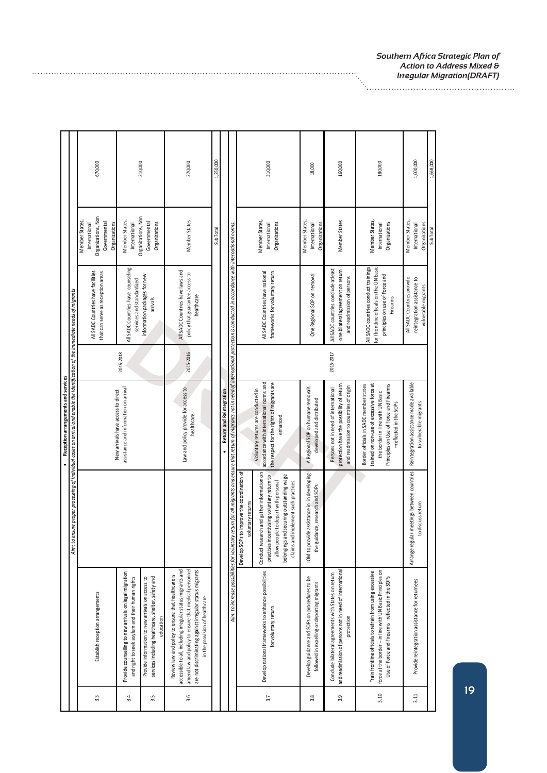|      |                                                                                                                                                                                                                                                                         |                                                                                                                                                                                                                       | Aim: to ensure proper processing of individual cases on arrival and enable the identification of the immediate needs of migrants<br>Reception arrangements and services                     |           |                                                                                                                               |                                                                                        |           |  |
|------|-------------------------------------------------------------------------------------------------------------------------------------------------------------------------------------------------------------------------------------------------------------------------|-----------------------------------------------------------------------------------------------------------------------------------------------------------------------------------------------------------------------|---------------------------------------------------------------------------------------------------------------------------------------------------------------------------------------------|-----------|-------------------------------------------------------------------------------------------------------------------------------|----------------------------------------------------------------------------------------|-----------|--|
|      |                                                                                                                                                                                                                                                                         |                                                                                                                                                                                                                       |                                                                                                                                                                                             |           |                                                                                                                               |                                                                                        |           |  |
| 33   | Establish reception arrangements                                                                                                                                                                                                                                        |                                                                                                                                                                                                                       | New arrivals have access to direct                                                                                                                                                          |           | All SADC Countries have facilities<br>that can serve as reception areas                                                       | Organizations, Non<br>Member States,<br>Governmental<br>Organizations<br>International | 670,000   |  |
| 3.4  | Provide counselling to new arrivals on legal migration<br>and right to seek asylum and their human rights                                                                                                                                                               |                                                                                                                                                                                                                       | assistance and information on arrival                                                                                                                                                       | 2015-2018 | All SADC Countries have counseling<br>services and standardized                                                               | Organizations, Non<br>Member States,<br>International                                  | 310,000   |  |
| 3.5  | Provide information to new arrivals on access to<br>services including healthcare, shelter, safety and<br>education                                                                                                                                                     |                                                                                                                                                                                                                       |                                                                                                                                                                                             |           | information packages for new<br>arrivals                                                                                      | Governmental<br>Organizations                                                          |           |  |
| 3.6  | accessible to all, including irregular status migrants and<br>amend law and policy to ensure that medical personnel<br>are not discriminating against irregular status migrants<br>Review law and policy to ensure that healthcare is<br>in the provision of healthcare |                                                                                                                                                                                                                       | Law and policy provide for access to<br>healthcare                                                                                                                                          | 2015-2016 | All SADC Countries have laws and<br>policy that guarantee access to<br>healthcare                                             | Member States                                                                          | 270,000   |  |
|      |                                                                                                                                                                                                                                                                         |                                                                                                                                                                                                                       |                                                                                                                                                                                             |           |                                                                                                                               | Sub Total                                                                              | 1,250,000 |  |
|      |                                                                                                                                                                                                                                                                         |                                                                                                                                                                                                                       | <b>Return and Reintegration</b>                                                                                                                                                             |           |                                                                                                                               |                                                                                        |           |  |
|      |                                                                                                                                                                                                                                                                         | Aim: to increase possibilities for voluntary return for all migrants and ensure that return of migrants not in need of international protection is conducted in accordance with international norms.                  |                                                                                                                                                                                             |           |                                                                                                                               |                                                                                        |           |  |
|      |                                                                                                                                                                                                                                                                         | Develop SOPs to improve the coordination of<br>voluntary returns                                                                                                                                                      |                                                                                                                                                                                             |           |                                                                                                                               |                                                                                        |           |  |
| 3.7  | Develop national frameworks to enhance possibilities<br>for voluntary return                                                                                                                                                                                            | Conduct research and gather information on<br>practises incentivising voluntary return to<br>belongings and securing outstanding wage<br>allow people to depart with personal<br>claims and implement such practices. | accordance with international norms and<br>the respect for the rights of migrants are<br>Voluntary returns are conducted in<br>enhanced                                                     |           | frameworks for voluntary return<br>All SADC Countries have national                                                           | Member States,<br>Organizations<br>International                                       | 310,000   |  |
| 3.8  | Develop guidance and SOPs on procedures to be<br>followed in expelling or deporting migrants                                                                                                                                                                            | IOM to provide assistance in in developing<br>the guidance, research and SOPs                                                                                                                                         | A Regional SOP on humane removals<br>developed and distributed                                                                                                                              |           | One Regional SOP on removal                                                                                                   | Member States,<br>Organizations<br>International                                       | 18,000    |  |
| 3.9  | and readmission of persons not in need of international<br>Conclude bilateral agreements with States on return<br>protection                                                                                                                                            |                                                                                                                                                                                                                       | protection have the possibility of return<br>and readmission to countries of origin<br>Persons not in need of international                                                                 | 2015-2017 | All SADC countries conclude atleast<br>one bilateral agreement on return<br>and readmission of persons                        | Member States                                                                          | 160,000   |  |
| 3.10 | force at the border - in line with UN Basic Principles on<br>Train frontline officials to refrain from using excessive<br>Use of Force and Firearms -reflected in the SOPs                                                                                              |                                                                                                                                                                                                                       | trained on non-use of excessive force at<br>Principles on Use of Force and Firearms<br>Border officials in SADC member states<br>the border in line with UN Basic<br>-reflected in the SOPs |           | for ffrontline officals on the UN basic<br>All SADC countries conduct trainings<br>principles on use of Force and<br>Firearms | Member States,<br>Organizations<br>International                                       | 180,000   |  |
| 3.11 | Provide reintegration assistance for returnees                                                                                                                                                                                                                          | Arrange regular meetings between countries<br>to discuss return                                                                                                                                                       | Reintegration assistance made available<br>to vulnerable migrants                                                                                                                           |           | All SADC Countries provide<br>reintegration assistance to<br>vulnerable migrants                                              | Member States,<br>Organizations<br>International                                       | 1,000,000 |  |
|      |                                                                                                                                                                                                                                                                         |                                                                                                                                                                                                                       |                                                                                                                                                                                             |           |                                                                                                                               | Sub Tota                                                                               | 1.668.000 |  |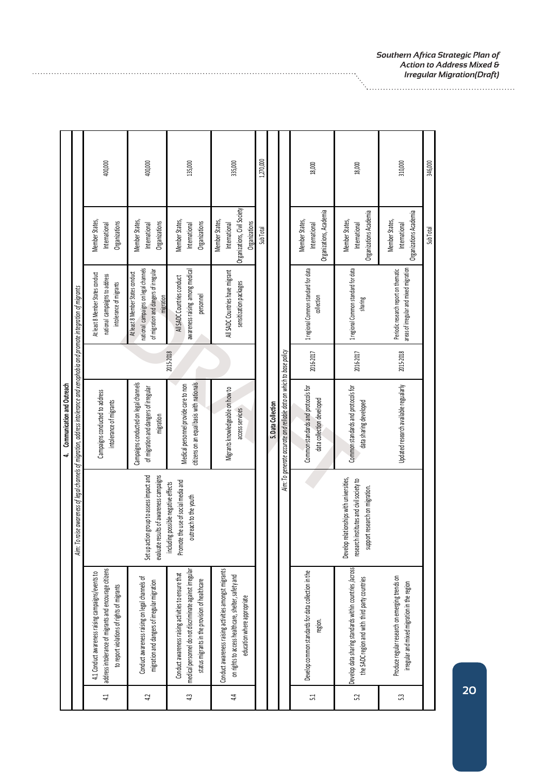|            |                                                                                                                                                                  |                                                                                                                        | Communication and Outreach<br>4                                                                                          |           |                                                                                                                                |                                                                                  |           |
|------------|------------------------------------------------------------------------------------------------------------------------------------------------------------------|------------------------------------------------------------------------------------------------------------------------|--------------------------------------------------------------------------------------------------------------------------|-----------|--------------------------------------------------------------------------------------------------------------------------------|----------------------------------------------------------------------------------|-----------|
|            |                                                                                                                                                                  | Aim: T                                                                                                                 | o raise awareness of legal channels of migration, address intolerance and xenophobia and promote integration of migrants |           |                                                                                                                                |                                                                                  |           |
| 41         | address intolerance of migrants and encourage citizens<br>4.1 Conduct awareness raising campaigns/events to<br>to report violations of rights of migrants        |                                                                                                                        | Campaigns conducted to address<br>intolerance of migrants                                                                |           | At least 8 Member States conduct<br>national campaigns to address<br>intolerance of migrants                                   | Member States,<br>Organizations<br>International                                 | 400,000   |
| 4.2        | Conduct awareness raising on legal channels of<br>migration and dangers of irregular migration                                                                   | evaluate results of awareness campaigns<br>Set up action group to assess impact and                                    | Campaigns conducted on legal channels<br>of migration and dangers of irregular<br>migration                              |           | national campaigns on legal channels<br>of migration and dangers of irregular<br>At least 8 Member States conduct<br>migration | Member States,<br>Organizations<br>International                                 | 400,000   |
| 43         | medical personnel do not discriminate against irregular<br>Conduct awareness raising activities to ensure that<br>status migrants in the provision of healthcare | Promote the use of social media and<br>including possible negative effects<br>outreach to the youth                    | citizens on an equal basis with nationals<br>Medical personnel provide care to non                                       | 2015-2018 | awareness raising among medical<br>All SADC Countries conduct<br>personnel                                                     | Member States,<br>Organizations<br>International                                 | 135,000   |
| 4.4        | Conduct awareness raising activities amongst migrants<br>on rights to access healthcare, shelter, safety and<br>education where appropriate                      |                                                                                                                        | Migrants knowledgeable on how to<br>access services                                                                      |           | All SADC Countries have migrant<br>sensitization packages                                                                      | Organizations, Civil Society<br>Member States,<br>International<br>Organizations | 335,000   |
|            |                                                                                                                                                                  |                                                                                                                        |                                                                                                                          |           |                                                                                                                                | Sub Total                                                                        | 1,270,000 |
|            |                                                                                                                                                                  |                                                                                                                        | 5. Data Collection                                                                                                       |           |                                                                                                                                |                                                                                  |           |
|            |                                                                                                                                                                  |                                                                                                                        | Aim: To generate accurate and reliable data on which to base policy                                                      |           |                                                                                                                                |                                                                                  |           |
| $\ddot{5}$ | Develop common standards for data collection in the<br>region.                                                                                                   |                                                                                                                        | Common standards and protocols for<br>data collection developed                                                          | 2016-2017 | 1 regional Common standard for data<br>collection                                                                              | Organizations, Academia<br>Member States,<br>International                       | 18,000    |
| 52         | Develop data sharing standards within countries /across<br>the SADC region and with third party countries                                                        | Develop relationships with universities,<br>research institutes and civil society to<br>support research on migration. | Common standards and protocols for<br>data sharing developed                                                             | 2016-2017 | 1 regional Common standard for data<br>sharing                                                                                 | Organizations Academia<br>Member States,<br>International                        | 18,000    |
| 53         | Produce regular research on emerging trends on<br>irregular and mixed migration in the region                                                                    |                                                                                                                        | Updated research available regualarly                                                                                    | 2015-2018 | areas of irregular and mixed migration<br>Periodic research report on thematic                                                 | Organizations Academia<br>Member States,<br>International                        | 310,000   |
|            |                                                                                                                                                                  |                                                                                                                        |                                                                                                                          |           |                                                                                                                                | Sub Total                                                                        | 346,000   |